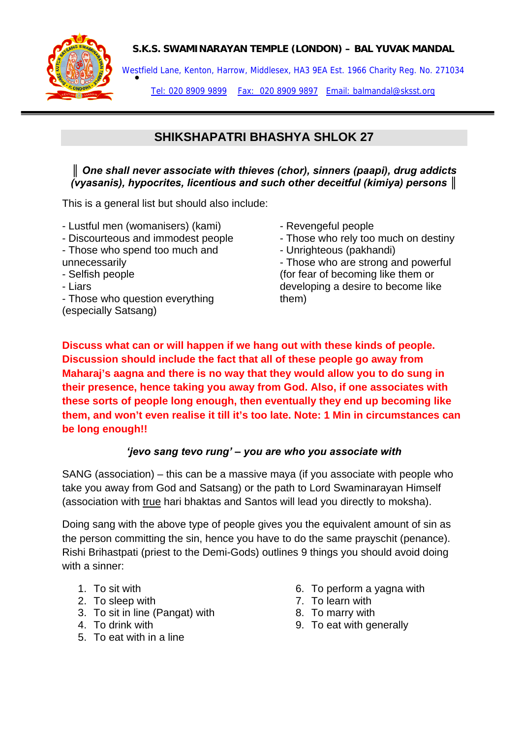#### **S.K.S. SWAMINARAYAN TEMPLE (LONDON) – BAL YUVAK MANDAL**



Westfield Lane, Kenton, Harrow, Middlesex, HA3 9EA Est. 1966 Charity Reg. No. 271034<br>●

Tel: 020 8909 9899 Fax: 020 8909 9897 Email: balmandal@sksst.org

# **SHIKSHAPATRI BHASHYA SHLOK 27**

#### *║ One shall never associate with thieves (chor), sinners (paapi), drug addicts (vyasanis), hypocrites, licentious and such other deceitful (kimiya) persons ║*

This is a general list but should also include:

- Lustful men (womanisers) (kami)
- Discourteous and immodest people
- Those who spend too much and unnecessarily
- Selfish people
- Liars
- Those who question everything
- (especially Satsang)
- Revengeful people
- Those who rely too much on destiny
- Unrighteous (pakhandi)

- Those who are strong and powerful (for fear of becoming like them or developing a desire to become like them)

**Discuss what can or will happen if we hang out with these kinds of people. Discussion should include the fact that all of these people go away from Maharaj's aagna and there is no way that they would allow you to do sung in their presence, hence taking you away from God. Also, if one associates with these sorts of people long enough, then eventually they end up becoming like them, and won't even realise it till it's too late. Note: 1 Min in circumstances can be long enough!!** 

### *'jevo sang tevo rung' – you are who you associate with*

SANG (association) – this can be a massive maya (if you associate with people who take you away from God and Satsang) or the path to Lord Swaminarayan Himself (association with true hari bhaktas and Santos will lead you directly to moksha).

Doing sang with the above type of people gives you the equivalent amount of sin as the person committing the sin, hence you have to do the same prayschit (penance). Rishi Brihastpati (priest to the Demi-Gods) outlines 9 things you should avoid doing with a sinner:

- 1. To sit with
- 2. To sleep with
- 3. To sit in line (Pangat) with
- 4. To drink with
- 5. To eat with in a line
- 6. To perform a yagna with
- 7. To learn with
- 8. To marry with
- 9. To eat with generally